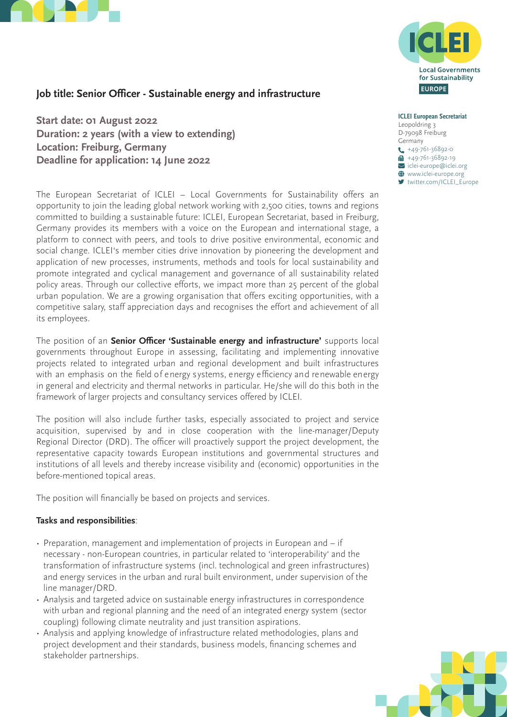



# **Job title: Senior Officer - Sustainable energy and infrastructure**

**Start date: 01 August 2022 Duration: 2 years (with a view to extending) Location: Freiburg, Germany Deadline for application: 14 June 2022** 

The European Secretariat of ICLEI – Local Governments for Sustainability offers an opportunity to join the leading global network working with 2,500 cities, towns and regions committed to building a sustainable future: ICLEI, European Secretariat, based in Freiburg, Germany provides its members with a voice on the European and international stage, a platform to connect with peers, and tools to drive positive environmental, economic and social change. ICLEI's member cities drive innovation by pioneering the development and application of new processes, instruments, methods and tools for local sustainability and promote integrated and cyclical management and governance of all sustainability related policy areas. Through our collective efforts, we impact more than 25 percent of the global urban population. We are a growing organisation that offers exciting opportunities, with a competitive salary, staff appreciation days and recognises the effort and achievement of all its employees.

The position of an **Senior Officer 'Sustainable energy and infrastructure'** supports local governments throughout Europe in assessing, facilitating and implementing innovative projects related to integrated urban and regional development and built infrastructures with an emphasis on the field of energy systems, energy efficiency and renewable energy in general and electricity and thermal networks in particular. He/she will do this both in the framework of larger projects and consultancy services offered by ICLEI.

The position will also include further tasks, especially associated to project and service acquisition, supervised by and in close cooperation with the line-manager/Deputy Regional Director (DRD). The officer will proactively support the project development, the representative capacity towards European institutions and governmental structures and institutions of all levels and thereby increase visibility and (economic) opportunities in the before-mentioned topical areas.

The position will financially be based on projects and services.

## **Tasks and responsibilities**:

- Preparation, management and implementation of projects in European and if necessary - non-European countries, in particular related to 'interoperability' and the transformation of infrastructure systems (incl. technological and green infrastructures) and energy services in the urban and rural built environment, under supervision of the line manager/DRD.
- Analysis and targeted advice on sustainable energy infrastructures in correspondence with urban and regional planning and the need of an integrated energy system (sector coupling) following climate neutrality and just transition aspirations.
- Analysis and applying knowledge of infrastructure related methodologies, plans and project development and their standards, business models, financing schemes and stakeholder partnerships.

**ICLEI European Secretariat** Leopoldring 3 D-79098 Freiburg Germany  $\leftarrow$  +49-761-36892-0  $+49-761-36892-19$  $\blacksquare$ iclei-europe@iclei.org  $\bigoplus$  www.iclei-europe.org ■ [twitter.com/ICLEI\\_Europe](https://twitter.com/ICLEI_Europe)

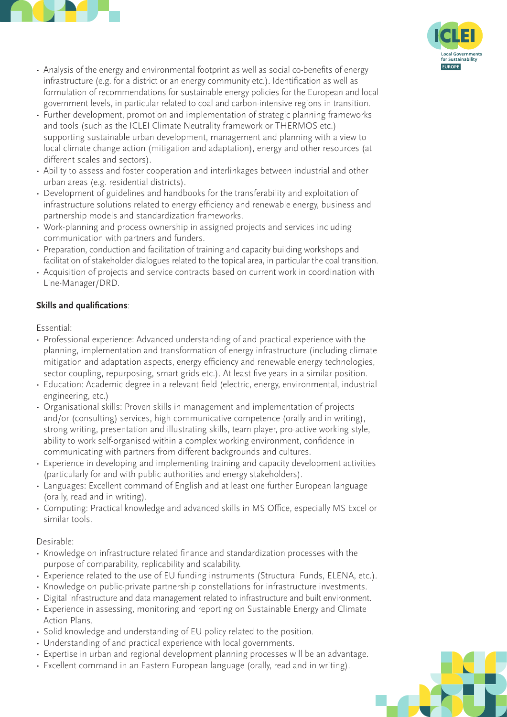

- Analysis of the energy and environmental footprint as well as social co-benefits of energy infrastructure (e.g. for a district or an energy community etc.). Identification as well as formulation of recommendations for sustainable energy policies for the European and local government levels, in particular related to coal and carbon-intensive regions in transition.
- Further development, promotion and implementation of strategic planning frameworks and tools (such as the ICLEI Climate Neutrality framework or THERMOS etc.) supporting sustainable urban development, management and planning with a view to local climate change action (mitigation and adaptation), energy and other resources (at different scales and sectors).
- Ability to assess and foster cooperation and interlinkages between industrial and other urban areas (e.g. residential districts).
- Development of guidelines and handbooks for the transferability and exploitation of infrastructure solutions related to energy efficiency and renewable energy, business and partnership models and standardization frameworks.
- Work-planning and process ownership in assigned projects and services including communication with partners and funders.
- Preparation, conduction and facilitation of training and capacity building workshops and facilitation of stakeholder dialogues related to the topical area, in particular the coal transition.
- Acquisition of projects and service contracts based on current work in coordination with Line-Manager/DRD.

# **Skills and qualifications**:

Essential:

- Professional experience: Advanced understanding of and practical experience with the planning, implementation and transformation of energy infrastructure (including climate mitigation and adaptation aspects, energy efficiency and renewable energy technologies, sector coupling, repurposing, smart grids etc.). At least five years in a similar position.
- Education: Academic degree in a relevant field (electric, energy, environmental, industrial engineering, etc.)
- Organisational skills: Proven skills in management and implementation of projects and/or (consulting) services, high communicative competence (orally and in writing), strong writing, presentation and illustrating skills, team player, pro-active working style, ability to work self-organised within a complex working environment, confidence in communicating with partners from different backgrounds and cultures.
- Experience in developing and implementing training and capacity development activities (particularly for and with public authorities and energy stakeholders).
- Languages: Excellent command of English and at least one further European language (orally, read and in writing).
- Computing: Practical knowledge and advanced skills in MS Office, especially MS Excel or similar tools.

Desirable:

- Knowledge on infrastructure related finance and standardization processes with the purpose of comparability, replicability and scalability.
- Experience related to the use of EU funding instruments (Structural Funds, ELENA, etc.).
- Knowledge on public-private partnership constellations for infrastructure investments.
- Digital infrastructure and data management related to infrastructure and built environment.
- Experience in assessing, monitoring and reporting on Sustainable Energy and Climate Action Plans.
- Solid knowledge and understanding of EU policy related to the position.
- Understanding of and practical experience with local governments.
- Expertise in urban and regional development planning processes will be an advantage.
- Excellent command in an Eastern European language (orally, read and in writing).